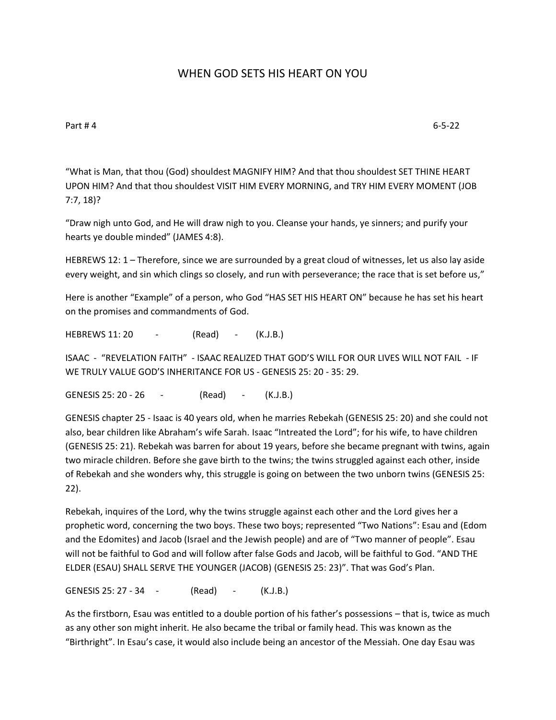## WHEN GOD SETS HIS HEART ON YOU

Part # 4 6-5-22

"What is Man, that thou (God) shouldest MAGNIFY HIM? And that thou shouldest SET THINE HEART UPON HIM? And that thou shouldest VISIT HIM EVERY MORNING, and TRY HIM EVERY MOMENT (JOB 7:7, 18)?

"Draw nigh unto God, and He will draw nigh to you. Cleanse your hands, ye sinners; and purify your hearts ye double minded" (JAMES 4:8).

HEBREWS 12: 1 – Therefore, since we are surrounded by a great cloud of witnesses, let us also lay aside every weight, and sin which clings so closely, and run with perseverance; the race that is set before us,"

Here is another "Example" of a person, who God "HAS SET HIS HEART ON" because he has set his heart on the promises and commandments of God.

HEBREWS 11: 20 - (Read) - (K.J.B.)

ISAAC - "REVELATION FAITH" - ISAAC REALIZED THAT GOD'S WILL FOR OUR LIVES WILL NOT FAIL - IF WE TRULY VALUE GOD'S INHERITANCE FOR US - GENESIS 25: 20 - 35: 29.

GENESIS 25: 20 - 26 - (Read) - (K.J.B.)

GENESIS chapter 25 - Isaac is 40 years old, when he marries Rebekah (GENESIS 25: 20) and she could not also, bear children like Abraham's wife Sarah. Isaac "Intreated the Lord"; for his wife, to have children (GENESIS 25: 21). Rebekah was barren for about 19 years, before she became pregnant with twins, again two miracle children. Before she gave birth to the twins; the twins struggled against each other, inside of Rebekah and she wonders why, this struggle is going on between the two unborn twins (GENESIS 25: 22).

Rebekah, inquires of the Lord, why the twins struggle against each other and the Lord gives her a prophetic word, concerning the two boys. These two boys; represented "Two Nations": Esau and (Edom and the Edomites) and Jacob (Israel and the Jewish people) and are of "Two manner of people". Esau will not be faithful to God and will follow after false Gods and Jacob, will be faithful to God. "AND THE ELDER (ESAU) SHALL SERVE THE YOUNGER (JACOB) (GENESIS 25: 23)". That was God's Plan.

GENESIS 25: 27 - 34 - (Read) - (K.J.B.)

As the firstborn, Esau was entitled to a double portion of his father's possessions – that is, twice as much as any other son might inherit. He also became the tribal or family head. This was known as the "Birthright". In Esau's case, it would also include being an ancestor of the Messiah. One day Esau was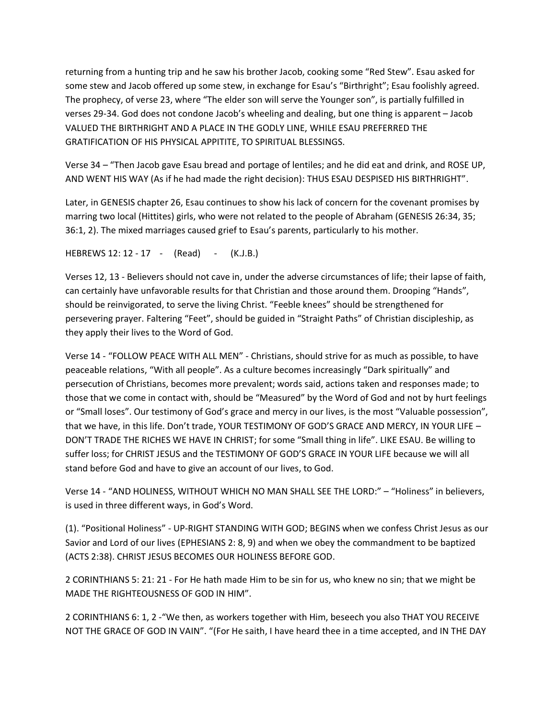returning from a hunting trip and he saw his brother Jacob, cooking some "Red Stew". Esau asked for some stew and Jacob offered up some stew, in exchange for Esau's "Birthright"; Esau foolishly agreed. The prophecy, of verse 23, where "The elder son will serve the Younger son", is partially fulfilled in verses 29-34. God does not condone Jacob's wheeling and dealing, but one thing is apparent – Jacob VALUED THE BIRTHRIGHT AND A PLACE IN THE GODLY LINE, WHILE ESAU PREFERRED THE GRATIFICATION OF HIS PHYSICAL APPITITE, TO SPIRITUAL BLESSINGS.

Verse 34 – "Then Jacob gave Esau bread and portage of lentiles; and he did eat and drink, and ROSE UP, AND WENT HIS WAY (As if he had made the right decision): THUS ESAU DESPISED HIS BIRTHRIGHT".

Later, in GENESIS chapter 26, Esau continues to show his lack of concern for the covenant promises by marring two local (Hittites) girls, who were not related to the people of Abraham (GENESIS 26:34, 35; 36:1, 2). The mixed marriages caused grief to Esau's parents, particularly to his mother.

HEBREWS 12: 12 - 17 - (Read) - (K.J.B.)

Verses 12, 13 - Believers should not cave in, under the adverse circumstances of life; their lapse of faith, can certainly have unfavorable results for that Christian and those around them. Drooping "Hands", should be reinvigorated, to serve the living Christ. "Feeble knees" should be strengthened for persevering prayer. Faltering "Feet", should be guided in "Straight Paths" of Christian discipleship, as they apply their lives to the Word of God.

Verse 14 - "FOLLOW PEACE WITH ALL MEN" - Christians, should strive for as much as possible, to have peaceable relations, "With all people". As a culture becomes increasingly "Dark spiritually" and persecution of Christians, becomes more prevalent; words said, actions taken and responses made; to those that we come in contact with, should be "Measured" by the Word of God and not by hurt feelings or "Small loses". Our testimony of God's grace and mercy in our lives, is the most "Valuable possession", that we have, in this life. Don't trade, YOUR TESTIMONY OF GOD'S GRACE AND MERCY, IN YOUR LIFE – DON'T TRADE THE RICHES WE HAVE IN CHRIST; for some "Small thing in life". LIKE ESAU. Be willing to suffer loss; for CHRIST JESUS and the TESTIMONY OF GOD'S GRACE IN YOUR LIFE because we will all stand before God and have to give an account of our lives, to God.

Verse 14 - "AND HOLINESS, WITHOUT WHICH NO MAN SHALL SEE THE LORD:" – "Holiness" in believers, is used in three different ways, in God's Word.

(1). "Positional Holiness" - UP-RIGHT STANDING WITH GOD; BEGINS when we confess Christ Jesus as our Savior and Lord of our lives (EPHESIANS 2: 8, 9) and when we obey the commandment to be baptized (ACTS 2:38). CHRIST JESUS BECOMES OUR HOLINESS BEFORE GOD.

2 CORINTHIANS 5: 21: 21 - For He hath made Him to be sin for us, who knew no sin; that we might be MADE THE RIGHTEOUSNESS OF GOD IN HIM".

2 CORINTHIANS 6: 1, 2 -"We then, as workers together with Him, beseech you also THAT YOU RECEIVE NOT THE GRACE OF GOD IN VAIN". "(For He saith, I have heard thee in a time accepted, and IN THE DAY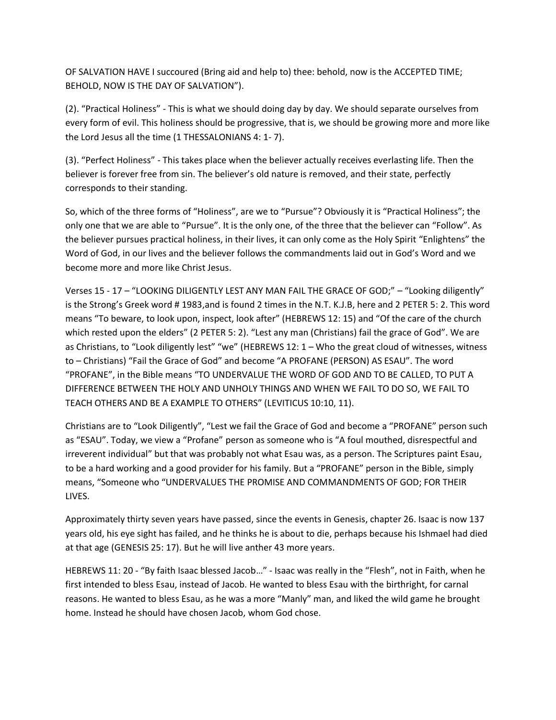OF SALVATION HAVE I succoured (Bring aid and help to) thee: behold, now is the ACCEPTED TIME; BEHOLD, NOW IS THE DAY OF SALVATION").

(2). "Practical Holiness" - This is what we should doing day by day. We should separate ourselves from every form of evil. This holiness should be progressive, that is, we should be growing more and more like the Lord Jesus all the time (1 THESSALONIANS 4: 1- 7).

(3). "Perfect Holiness" - This takes place when the believer actually receives everlasting life. Then the believer is forever free from sin. The believer's old nature is removed, and their state, perfectly corresponds to their standing.

So, which of the three forms of "Holiness", are we to "Pursue"? Obviously it is "Practical Holiness"; the only one that we are able to "Pursue". It is the only one, of the three that the believer can "Follow". As the believer pursues practical holiness, in their lives, it can only come as the Holy Spirit "Enlightens" the Word of God, in our lives and the believer follows the commandments laid out in God's Word and we become more and more like Christ Jesus.

Verses 15 - 17 – "LOOKING DILIGENTLY LEST ANY MAN FAIL THE GRACE OF GOD;" – "Looking diligently" is the Strong's Greek word # 1983,and is found 2 times in the N.T. K.J.B, here and 2 PETER 5: 2. This word means "To beware, to look upon, inspect, look after" (HEBREWS 12: 15) and "Of the care of the church which rested upon the elders" (2 PETER 5: 2). "Lest any man (Christians) fail the grace of God". We are as Christians, to "Look diligently lest" "we" (HEBREWS 12: 1 – Who the great cloud of witnesses, witness to – Christians) "Fail the Grace of God" and become "A PROFANE (PERSON) AS ESAU". The word "PROFANE", in the Bible means "TO UNDERVALUE THE WORD OF GOD AND TO BE CALLED, TO PUT A DIFFERENCE BETWEEN THE HOLY AND UNHOLY THINGS AND WHEN WE FAIL TO DO SO, WE FAIL TO TEACH OTHERS AND BE A EXAMPLE TO OTHERS" (LEVITICUS 10:10, 11).

Christians are to "Look Diligently", "Lest we fail the Grace of God and become a "PROFANE" person such as "ESAU". Today, we view a "Profane" person as someone who is "A foul mouthed, disrespectful and irreverent individual" but that was probably not what Esau was, as a person. The Scriptures paint Esau, to be a hard working and a good provider for his family. But a "PROFANE" person in the Bible, simply means, "Someone who "UNDERVALUES THE PROMISE AND COMMANDMENTS OF GOD; FOR THEIR LIVES.

Approximately thirty seven years have passed, since the events in Genesis, chapter 26. Isaac is now 137 years old, his eye sight has failed, and he thinks he is about to die, perhaps because his Ishmael had died at that age (GENESIS 25: 17). But he will live anther 43 more years.

HEBREWS 11: 20 - "By faith Isaac blessed Jacob…" - Isaac was really in the "Flesh", not in Faith, when he first intended to bless Esau, instead of Jacob. He wanted to bless Esau with the birthright, for carnal reasons. He wanted to bless Esau, as he was a more "Manly" man, and liked the wild game he brought home. Instead he should have chosen Jacob, whom God chose.